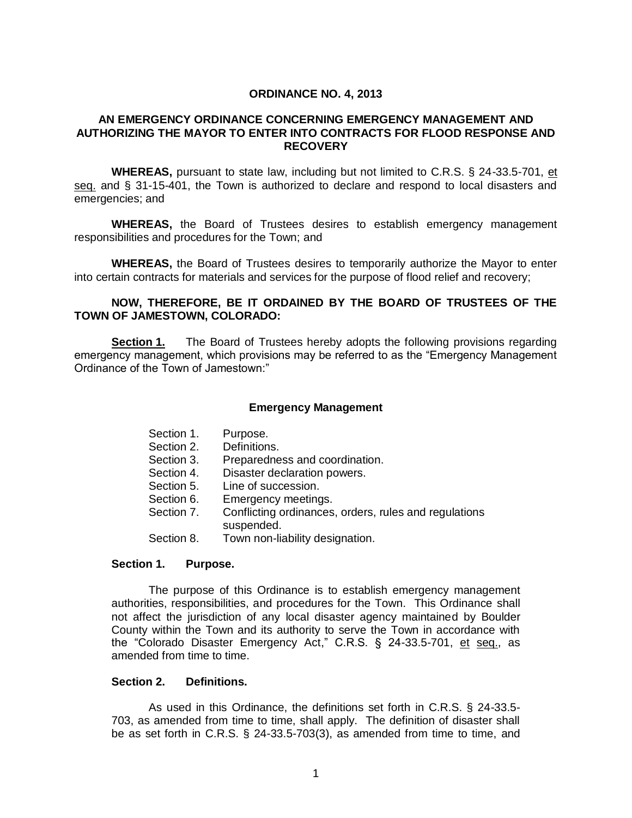## **ORDINANCE NO. 4, 2013**

# **AN EMERGENCY ORDINANCE CONCERNING EMERGENCY MANAGEMENT AND AUTHORIZING THE MAYOR TO ENTER INTO CONTRACTS FOR FLOOD RESPONSE AND RECOVERY**

**WHEREAS,** pursuant to state law, including but not limited to C.R.S. § 24-33.5-701, et seq. and § 31-15-401, the Town is authorized to declare and respond to local disasters and emergencies; and

**WHEREAS,** the Board of Trustees desires to establish emergency management responsibilities and procedures for the Town; and

**WHEREAS,** the Board of Trustees desires to temporarily authorize the Mayor to enter into certain contracts for materials and services for the purpose of flood relief and recovery;

## **NOW, THEREFORE, BE IT ORDAINED BY THE BOARD OF TRUSTEES OF THE TOWN OF JAMESTOWN, COLORADO:**

**Section 1.** The Board of Trustees hereby adopts the following provisions regarding emergency management, which provisions may be referred to as the "Emergency Management Ordinance of the Town of Jamestown:"

#### **Emergency Management**

| Section 1. | Purpose.                                                            |
|------------|---------------------------------------------------------------------|
| Section 2. | Definitions.                                                        |
| Section 3. | Preparedness and coordination.                                      |
| Section 4. | Disaster declaration powers.                                        |
| Section 5. | Line of succession.                                                 |
| Section 6. | Emergency meetings.                                                 |
| Section 7. | Conflicting ordinances, orders, rules and regulations<br>suspended. |
| Section 8. | Town non-liability designation.                                     |

## **Section 1. Purpose.**

The purpose of this Ordinance is to establish emergency management authorities, responsibilities, and procedures for the Town. This Ordinance shall not affect the jurisdiction of any local disaster agency maintained by Boulder County within the Town and its authority to serve the Town in accordance with the "Colorado Disaster Emergency Act," C.R.S. § 24-33.5-701, et seq., as amended from time to time.

# **Section 2. Definitions.**

As used in this Ordinance, the definitions set forth in C.R.S. § 24-33.5- 703, as amended from time to time, shall apply. The definition of disaster shall be as set forth in C.R.S. § 24-33.5-703(3), as amended from time to time, and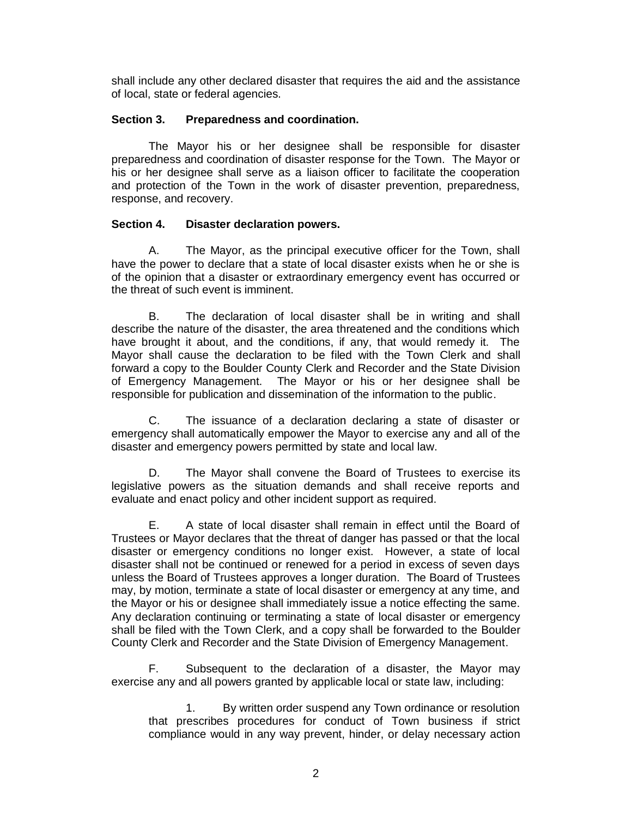shall include any other declared disaster that requires the aid and the assistance of local, state or federal agencies.

# **Section 3. Preparedness and coordination.**

The Mayor his or her designee shall be responsible for disaster preparedness and coordination of disaster response for the Town. The Mayor or his or her designee shall serve as a liaison officer to facilitate the cooperation and protection of the Town in the work of disaster prevention, preparedness, response, and recovery.

# **Section 4. Disaster declaration powers.**

A. The Mayor, as the principal executive officer for the Town, shall have the power to declare that a state of local disaster exists when he or she is of the opinion that a disaster or extraordinary emergency event has occurred or the threat of such event is imminent.

B. The declaration of local disaster shall be in writing and shall describe the nature of the disaster, the area threatened and the conditions which have brought it about, and the conditions, if any, that would remedy it. The Mayor shall cause the declaration to be filed with the Town Clerk and shall forward a copy to the Boulder County Clerk and Recorder and the State Division of Emergency Management. The Mayor or his or her designee shall be responsible for publication and dissemination of the information to the public.

C. The issuance of a declaration declaring a state of disaster or emergency shall automatically empower the Mayor to exercise any and all of the disaster and emergency powers permitted by state and local law.

D. The Mayor shall convene the Board of Trustees to exercise its legislative powers as the situation demands and shall receive reports and evaluate and enact policy and other incident support as required.

E. A state of local disaster shall remain in effect until the Board of Trustees or Mayor declares that the threat of danger has passed or that the local disaster or emergency conditions no longer exist. However, a state of local disaster shall not be continued or renewed for a period in excess of seven days unless the Board of Trustees approves a longer duration. The Board of Trustees may, by motion, terminate a state of local disaster or emergency at any time, and the Mayor or his or designee shall immediately issue a notice effecting the same. Any declaration continuing or terminating a state of local disaster or emergency shall be filed with the Town Clerk, and a copy shall be forwarded to the Boulder County Clerk and Recorder and the State Division of Emergency Management.

F. Subsequent to the declaration of a disaster, the Mayor may exercise any and all powers granted by applicable local or state law, including:

1. By written order suspend any Town ordinance or resolution that prescribes procedures for conduct of Town business if strict compliance would in any way prevent, hinder, or delay necessary action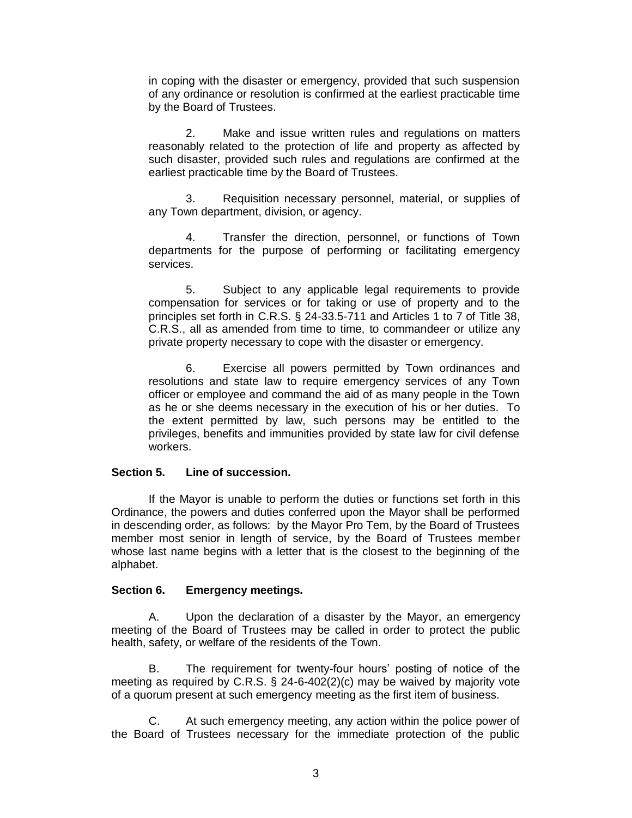in coping with the disaster or emergency, provided that such suspension of any ordinance or resolution is confirmed at the earliest practicable time by the Board of Trustees.

2. Make and issue written rules and regulations on matters reasonably related to the protection of life and property as affected by such disaster, provided such rules and regulations are confirmed at the earliest practicable time by the Board of Trustees.

3. Requisition necessary personnel, material, or supplies of any Town department, division, or agency.

4. Transfer the direction, personnel, or functions of Town departments for the purpose of performing or facilitating emergency services.

5. Subject to any applicable legal requirements to provide compensation for services or for taking or use of property and to the principles set forth in C.R.S. § 24-33.5-711 and Articles 1 to 7 of Title 38, C.R.S., all as amended from time to time, to commandeer or utilize any private property necessary to cope with the disaster or emergency.

6. Exercise all powers permitted by Town ordinances and resolutions and state law to require emergency services of any Town officer or employee and command the aid of as many people in the Town as he or she deems necessary in the execution of his or her duties. To the extent permitted by law, such persons may be entitled to the privileges, benefits and immunities provided by state law for civil defense workers.

## **Section 5. Line of succession.**

If the Mayor is unable to perform the duties or functions set forth in this Ordinance, the powers and duties conferred upon the Mayor shall be performed in descending order, as follows: by the Mayor Pro Tem, by the Board of Trustees member most senior in length of service, by the Board of Trustees member whose last name begins with a letter that is the closest to the beginning of the alphabet.

## **Section 6. Emergency meetings.**

A. Upon the declaration of a disaster by the Mayor, an emergency meeting of the Board of Trustees may be called in order to protect the public health, safety, or welfare of the residents of the Town.

B. The requirement for twenty-four hours' posting of notice of the meeting as required by C.R.S. § 24-6-402(2)(c) may be waived by majority vote of a quorum present at such emergency meeting as the first item of business.

C. At such emergency meeting, any action within the police power of the Board of Trustees necessary for the immediate protection of the public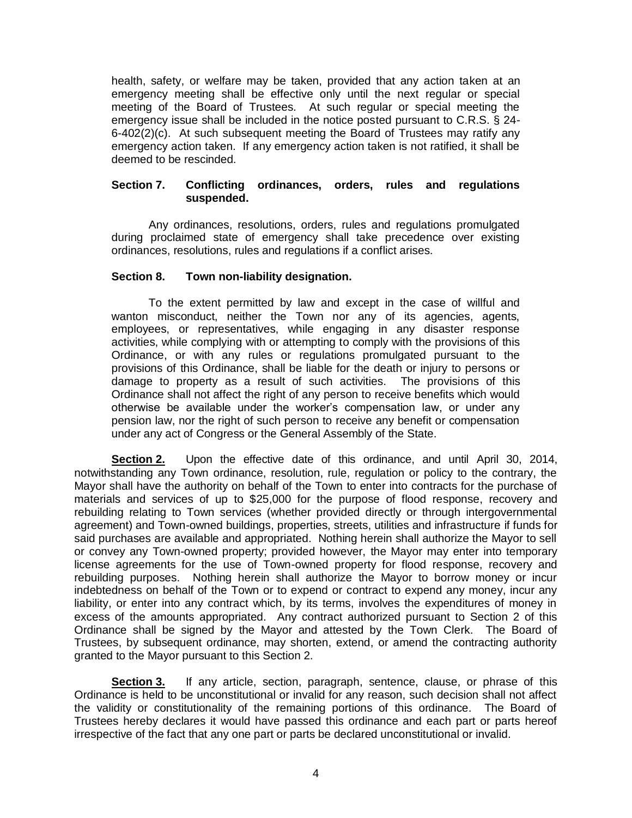health, safety, or welfare may be taken, provided that any action taken at an emergency meeting shall be effective only until the next regular or special meeting of the Board of Trustees. At such regular or special meeting the emergency issue shall be included in the notice posted pursuant to C.R.S. § 24- 6-402(2)(c). At such subsequent meeting the Board of Trustees may ratify any emergency action taken. If any emergency action taken is not ratified, it shall be deemed to be rescinded.

# **Section 7. Conflicting ordinances, orders, rules and regulations suspended.**

Any ordinances, resolutions, orders, rules and regulations promulgated during proclaimed state of emergency shall take precedence over existing ordinances, resolutions, rules and regulations if a conflict arises.

# **Section 8. Town non-liability designation.**

To the extent permitted by law and except in the case of willful and wanton misconduct, neither the Town nor any of its agencies, agents, employees, or representatives, while engaging in any disaster response activities, while complying with or attempting to comply with the provisions of this Ordinance, or with any rules or regulations promulgated pursuant to the provisions of this Ordinance, shall be liable for the death or injury to persons or damage to property as a result of such activities. The provisions of this Ordinance shall not affect the right of any person to receive benefits which would otherwise be available under the worker's compensation law, or under any pension law, nor the right of such person to receive any benefit or compensation under any act of Congress or the General Assembly of the State.

**Section 2.** Upon the effective date of this ordinance, and until April 30, 2014, notwithstanding any Town ordinance, resolution, rule, regulation or policy to the contrary, the Mayor shall have the authority on behalf of the Town to enter into contracts for the purchase of materials and services of up to \$25,000 for the purpose of flood response, recovery and rebuilding relating to Town services (whether provided directly or through intergovernmental agreement) and Town-owned buildings, properties, streets, utilities and infrastructure if funds for said purchases are available and appropriated. Nothing herein shall authorize the Mayor to sell or convey any Town-owned property; provided however, the Mayor may enter into temporary license agreements for the use of Town-owned property for flood response, recovery and rebuilding purposes. Nothing herein shall authorize the Mayor to borrow money or incur indebtedness on behalf of the Town or to expend or contract to expend any money, incur any liability, or enter into any contract which, by its terms, involves the expenditures of money in excess of the amounts appropriated. Any contract authorized pursuant to Section 2 of this Ordinance shall be signed by the Mayor and attested by the Town Clerk. The Board of Trustees, by subsequent ordinance, may shorten, extend, or amend the contracting authority granted to the Mayor pursuant to this Section 2.

**Section 3.** If any article, section, paragraph, sentence, clause, or phrase of this Ordinance is held to be unconstitutional or invalid for any reason, such decision shall not affect the validity or constitutionality of the remaining portions of this ordinance. The Board of Trustees hereby declares it would have passed this ordinance and each part or parts hereof irrespective of the fact that any one part or parts be declared unconstitutional or invalid.